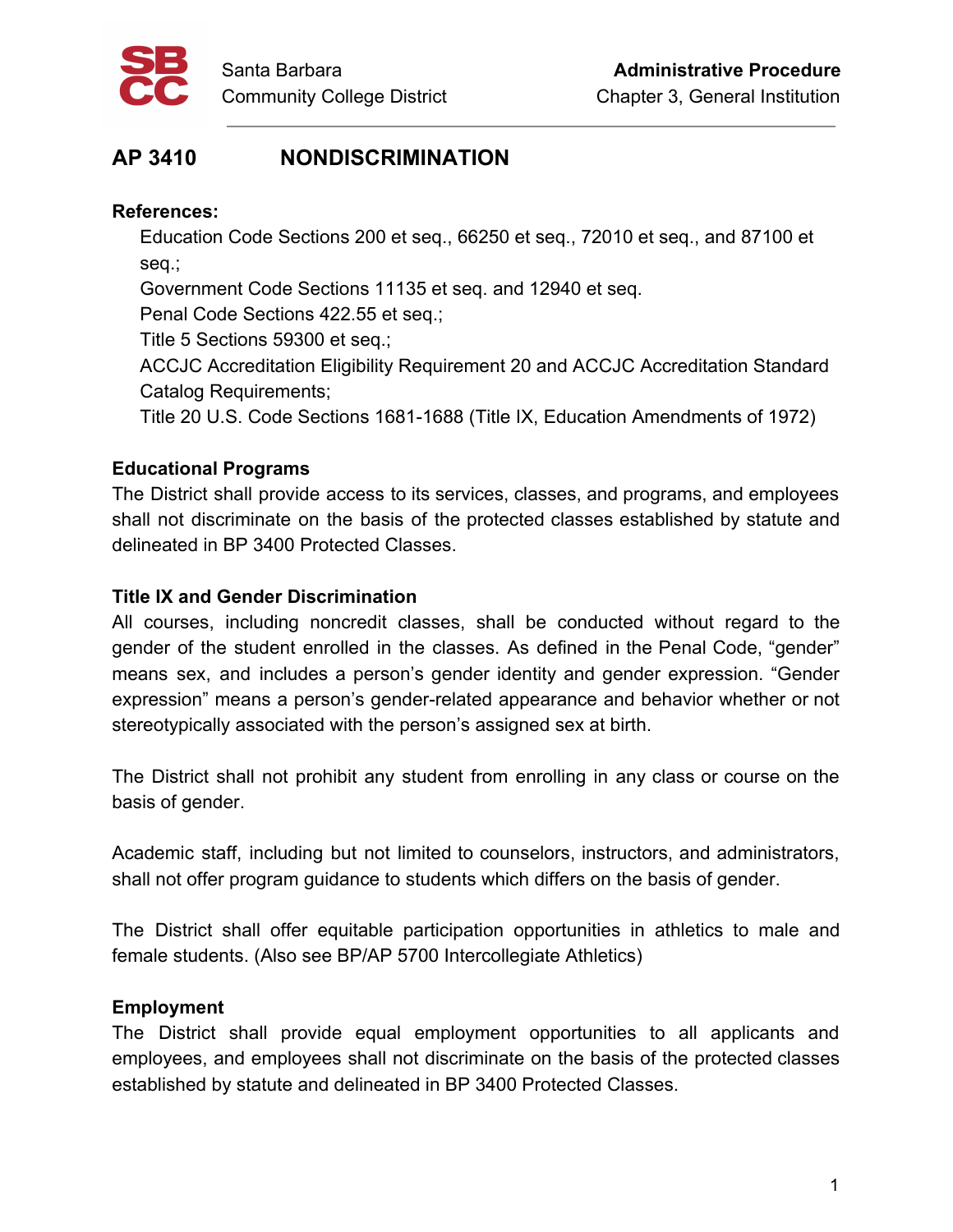

# **AP 3410 NONDISCRIMINATION**

## **References:**

Education Code Sections 200 et seq., 66250 et seq., 72010 et seq., and 87100 et seq.;

Government Code Sections 11135 et seq. and 12940 et seq.

Penal Code Sections 422.55 et seq.;

Title 5 Sections 59300 et seq.;

ACCJC Accreditation Eligibility Requirement 20 and ACCJC Accreditation Standard Catalog Requirements;

Title 20 U.S. Code Sections 1681-1688 (Title IX, Education Amendments of 1972)

# **Educational Programs**

The District shall provide access to its services, classes, and programs, and employees shall not discriminate on the basis of the protected classes established by statute and delineated in BP 3400 Protected Classes.

# **Title IX and Gender Discrimination**

All courses, including noncredit classes, shall be conducted without regard to the gender of the student enrolled in the classes. As defined in the Penal Code, "gender" means sex, and includes a person's gender identity and gender expression. "Gender expression" means a person's gender-related appearance and behavior whether or not stereotypically associated with the person's assigned sex at birth.

The District shall not prohibit any student from enrolling in any class or course on the basis of gender.

Academic staff, including but not limited to counselors, instructors, and administrators, shall not offer program guidance to students which differs on the basis of gender.

The District shall offer equitable participation opportunities in athletics to male and female students. (Also see BP/AP 5700 Intercollegiate Athletics)

## **Employment**

The District shall provide equal employment opportunities to all applicants and employees, and employees shall not discriminate on the basis of the protected classes established by statute and delineated in BP 3400 Protected Classes.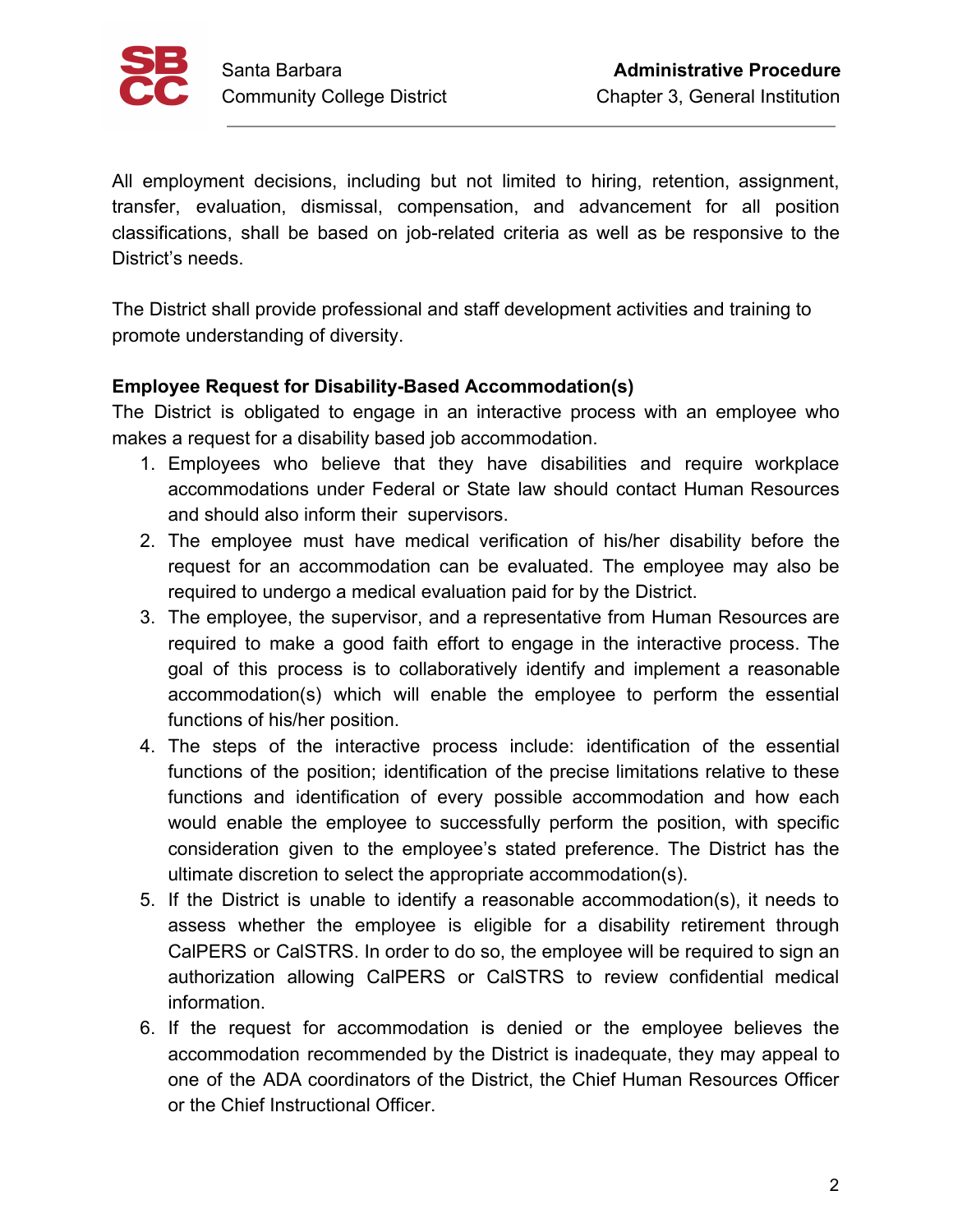

All employment decisions, including but not limited to hiring, retention, assignment, transfer, evaluation, dismissal, compensation, and advancement for all position classifications, shall be based on job-related criteria as well as be responsive to the District's needs.

The District shall provide professional and staff development activities and training to promote understanding of diversity.

## **Employee Request for Disability-Based Accommodation(s)**

The District is obligated to engage in an interactive process with an employee who makes a request for a disability based job accommodation.

- 1. Employees who believe that they have disabilities and require workplace accommodations under Federal or State law should contact Human Resources and should also inform their supervisors.
- 2. The employee must have medical verification of his/her disability before the request for an accommodation can be evaluated. The employee may also be required to undergo a medical evaluation paid for by the District.
- 3. The employee, the supervisor, and a representative from Human Resources are required to make a good faith effort to engage in the interactive process. The goal of this process is to collaboratively identify and implement a reasonable accommodation(s) which will enable the employee to perform the essential functions of his/her position.
- 4. The steps of the interactive process include: identification of the essential functions of the position; identification of the precise limitations relative to these functions and identification of every possible accommodation and how each would enable the employee to successfully perform the position, with specific consideration given to the employee's stated preference. The District has the ultimate discretion to select the appropriate accommodation(s).
- 5. If the District is unable to identify a reasonable accommodation(s), it needs to assess whether the employee is eligible for a disability retirement through CalPERS or CalSTRS. In order to do so, the employee will be required to sign an authorization allowing CalPERS or CalSTRS to review confidential medical information.
- 6. If the request for accommodation is denied or the employee believes the accommodation recommended by the District is inadequate, they may appeal to one of the ADA coordinators of the District, the Chief Human Resources Officer or the Chief Instructional Officer.